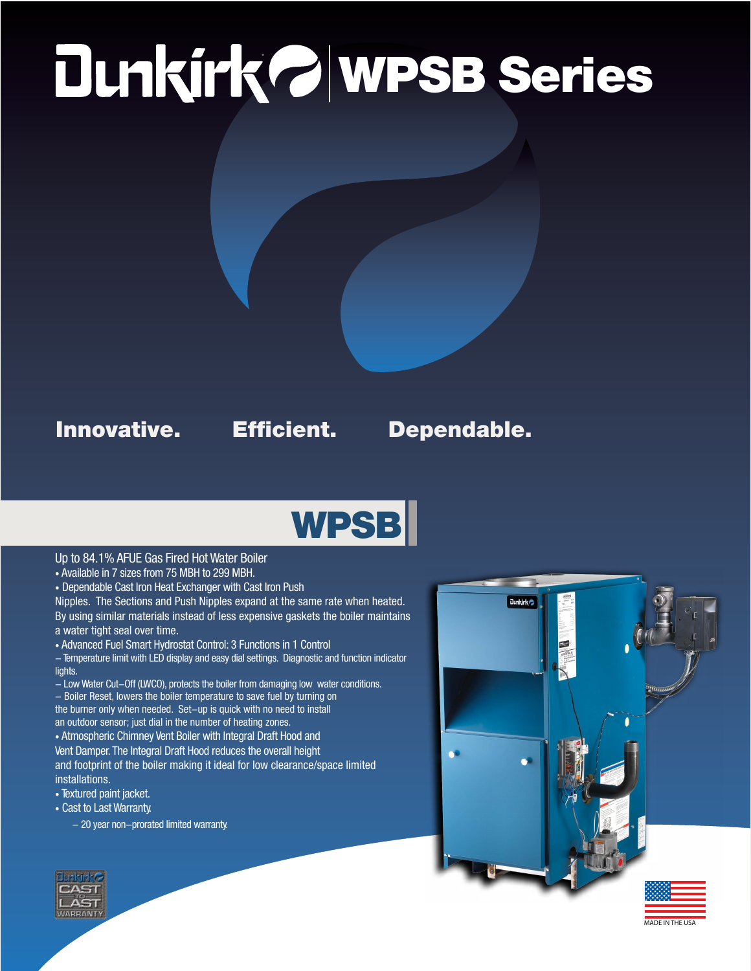# ® WPSB Series

### Innovative. Efficient. Dependable.

## **WPSB**

### Up to 84.1% AFUE Gas Fired Hot Water Boiler

- Available in 7 sizes from 75 MBH to 299 MBH.
- Dependable Cast Iron Heat Exchanger with Cast Iron Push

Nipples. The Sections and Push Nipples expand at the same rate when heated. By using similar materials instead of less expensive gaskets the boiler maintains a water tight seal over time.

- Advanced Fuel Smart Hydrostat Control: 3 Functions in 1 Control
- Temperature limit with LED display and easy dial settings. Diagnostic and function indicator lights.
- Low Water Cut-Off (LWCO), protects the boiler from damaging low water conditions. - Boiler Reset, lowers the boiler temperature to save fuel by turning on the burner only when needed. Set-up is quick with no need to install
- an outdoor sensor; just dial in the number of heating zones.

• Atmospheric Chimney Vent Boiler with Integral Draft Hood and Vent Damper. The Integral Draft Hood reduces the overall height and footprint of the boiler making it ideal for low clearance/space limited installations.

- Textured paint jacket.
- Cast to Last Warranty.
	- $-$  20 year non-prorated limited warranty.